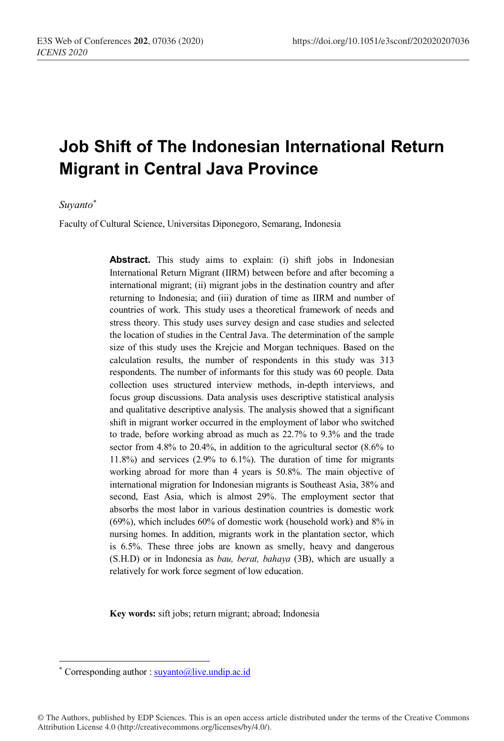# **Job Shift of The Indonesian International Return Migrant in Central Java Province**

## *Suyanto\**

Faculty of Cultural Science, Universitas Diponegoro, Semarang, Indonesia

Abstract. This study aims to explain: (i) shift jobs in Indonesian International Return Migrant (IIRM) between before and after becoming a international migrant; (ii) migrant jobs in the destination country and after returning to Indonesia; and (iii) duration of time as IIRM and number of countries of work. This study uses a theoretical framework of needs and stress theory. This study uses survey design and case studies and selected the location of studies in the Central Java. The determination of the sample size of this study uses the Krejcie and Morgan techniques. Based on the calculation results, the number of respondents in this study was 313 respondents. The number of informants for this study was 60 people. Data collection uses structured interview methods, in-depth interviews, and focus group discussions. Data analysis uses descriptive statistical analysis and qualitative descriptive analysis. The analysis showed that a significant shift in migrant worker occurred in the employment of labor who switched to trade, before working abroad as much as 22.7% to 9.3% and the trade sector from 4.8% to 20.4%, in addition to the agricultural sector (8.6% to 11.8%) and services (2.9% to 6.1%). The duration of time for migrants working abroad for more than 4 years is 50.8%. The main objective of international migration for Indonesian migrants is Southeast Asia, 38% and second, East Asia, which is almost 29%. The employment sector that absorbs the most labor in various destination countries is domestic work (69%), which includes 60% of domestic work (household work) and 8% in nursing homes. In addition, migrants work in the plantation sector, which is 6.5%. These three jobs are known as smelly, heavy and dangerous (S.H.D) or in Indonesia as *bau, berat, bahaya* (3B), which are usually a relatively for work force segment of low education.

**Key words:** sift jobs; return migrant; abroad; Indonesia

 $\overline{a}$ 

© The Authors, published by EDP Sciences. This is an open access article distributed under the terms of the Creative Commons Attribution License 4.0 (http://creativecommons.org/licenses/by/4.0/).

<sup>\*</sup> Corresponding author : suyanto@live.undip.ac.id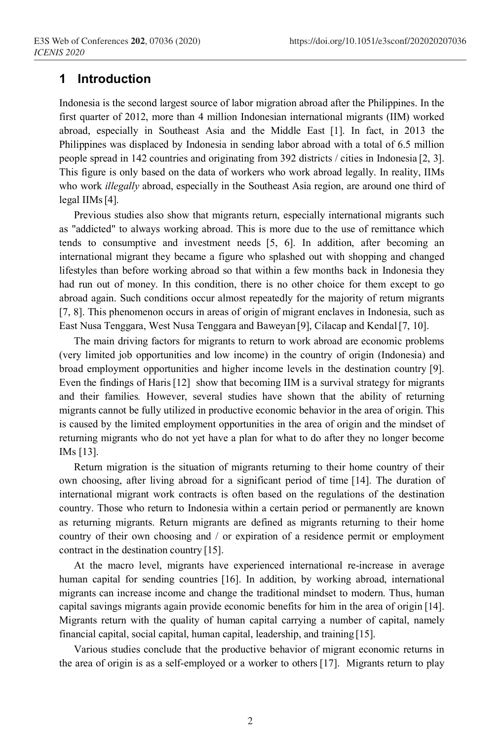## **1 Introduction**

Indonesia is the second largest source of labor migration abroad after the Philippines. In the first quarter of 2012, more than 4 million Indonesian international migrants (IIM) worked abroad, especially in Southeast Asia and the Middle East [1]. In fact, in 2013 the Philippines was displaced by Indonesia in sending labor abroad with a total of 6.5 million people spread in 142 countries and originating from 392 districts / cities in Indonesia [2, 3]. This figure is only based on the data of workers who work abroad legally. In reality, IIMs who work *illegally* abroad, especially in the Southeast Asia region, are around one third of legal IIMs[4].

Previous studies also show that migrants return, especially international migrants such as "addicted" to always working abroad. This is more due to the use of remittance which tends to consumptive and investment needs [5, 6]. In addition, after becoming an international migrant they became a figure who splashed out with shopping and changed lifestyles than before working abroad so that within a few months back in Indonesia they had run out of money. In this condition, there is no other choice for them except to go abroad again. Such conditions occur almost repeatedly for the majority of return migrants [7, 8]. This phenomenon occurs in areas of origin of migrant enclaves in Indonesia, such as East Nusa Tenggara, West Nusa Tenggara and Baweyan [9], Cilacap and Kendal[7, 10].

The main driving factors for migrants to return to work abroad are economic problems (very limited job opportunities and low income) in the country of origin (Indonesia) and broad employment opportunities and higher income levels in the destination country [9]. Even the findings of Haris [12] show that becoming IIM is a survival strategy for migrants and their families*.* However, several studies have shown that the ability of returning migrants cannot be fully utilized in productive economic behavior in the area of origin. This is caused by the limited employment opportunities in the area of origin and the mindset of returning migrants who do not yet have a plan for what to do after they no longer become IMs [13].

Return migration is the situation of migrants returning to their home country of their own choosing, after living abroad for a significant period of time [14]. The duration of international migrant work contracts is often based on the regulations of the destination country. Those who return to Indonesia within a certain period or permanently are known as returning migrants. Return migrants are defined as migrants returning to their home country of their own choosing and / or expiration of a residence permit or employment contract in the destination country [15].

At the macro level, migrants have experienced international re-increase in average human capital for sending countries [16]. In addition, by working abroad, international migrants can increase income and change the traditional mindset to modern. Thus, human capital savings migrants again provide economic benefits for him in the area of origin [14]. Migrants return with the quality of human capital carrying a number of capital, namely financial capital, social capital, human capital, leadership, and training [15].

Various studies conclude that the productive behavior of migrant economic returns in the area of origin is as a self-employed or a worker to others [17]. Migrants return to play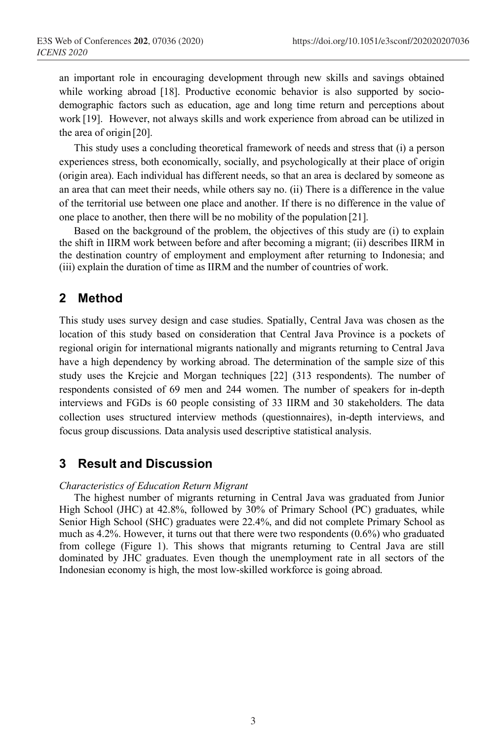an important role in encouraging development through new skills and savings obtained while working abroad [18]. Productive economic behavior is also supported by sociodemographic factors such as education, age and long time return and perceptions about work [19]. However, not always skills and work experience from abroad can be utilized in the area of origin [20].

This study uses a concluding theoretical framework of needs and stress that (i) a person experiences stress, both economically, socially, and psychologically at their place of origin (origin area). Each individual has different needs, so that an area is declared by someone as an area that can meet their needs, while others say no. (ii) There is a difference in the value of the territorial use between one place and another. If there is no difference in the value of one place to another, then there will be no mobility of the population [21].

Based on the background of the problem, the objectives of this study are (i) to explain the shift in IIRM work between before and after becoming a migrant; (ii) describes IIRM in the destination country of employment and employment after returning to Indonesia; and (iii) explain the duration of time as IIRM and the number of countries of work.

# **2 Method**

This study uses survey design and case studies. Spatially, Central Java was chosen as the location of this study based on consideration that Central Java Province is a pockets of regional origin for international migrants nationally and migrants returning to Central Java have a high dependency by working abroad. The determination of the sample size of this study uses the Krejcie and Morgan techniques [22] (313 respondents). The number of respondents consisted of 69 men and 244 women. The number of speakers for in-depth interviews and FGDs is 60 people consisting of 33 IIRM and 30 stakeholders. The data collection uses structured interview methods (questionnaires), in-depth interviews, and focus group discussions. Data analysis used descriptive statistical analysis.

## **3 Result and Discussion**

## *Characteristics of Education Return Migrant*

The highest number of migrants returning in Central Java was graduated from Junior High School (JHC) at 42.8%, followed by 30% of Primary School (PC) graduates, while Senior High School (SHC) graduates were 22.4%, and did not complete Primary School as much as 4.2%. However, it turns out that there were two respondents  $(0.6\%)$  who graduated from college (Figure 1). This shows that migrants returning to Central Java are still dominated by JHC graduates. Even though the unemployment rate in all sectors of the Indonesian economy is high, the most low-skilled workforce is going abroad.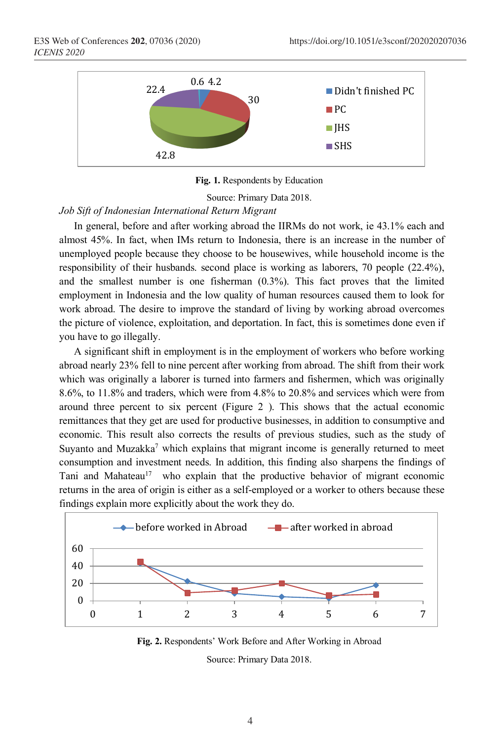

**Fig. 1.** Respondents by Education

Source: Primary Data 2018.

### *Job Sift of Indonesian International Return Migrant*

In general, before and after working abroad the IIRMs do not work, ie 43.1% each and almost 45%. In fact, when IMs return to Indonesia, there is an increase in the number of unemployed people because they choose to be housewives, while household income is the responsibility of their husbands. second place is working as laborers, 70 people (22.4%), and the smallest number is one fisherman (0.3%). This fact proves that the limited employment in Indonesia and the low quality of human resources caused them to look for work abroad. The desire to improve the standard of living by working abroad overcomes the picture of violence, exploitation, and deportation. In fact, this is sometimes done even if you have to go illegally.

A significant shift in employment is in the employment of workers who before working abroad nearly 23% fell to nine percent after working from abroad. The shift from their work which was originally a laborer is turned into farmers and fishermen, which was originally 8.6%, to 11.8% and traders, which were from 4.8% to 20.8% and services which were from around three percent to six percent (Figure 2 ). This shows that the actual economic remittances that they get are used for productive businesses, in addition to consumptive and economic. This result also corrects the results of previous studies, such as the study of Suyanto and Muzakka<sup>7</sup> which explains that migrant income is generally returned to meet consumption and investment needs. In addition, this finding also sharpens the findings of Tani and Mahateau<sup>17</sup> who explain that the productive behavior of migrant economic returns in the area of origin is either as a self-employed or a worker to others because these findings explain more explicitly about the work they do.



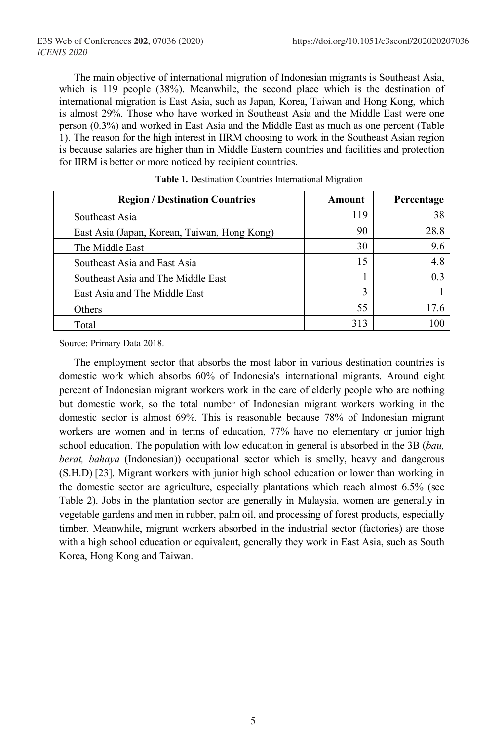The main objective of international migration of Indonesian migrants is Southeast Asia, which is 119 people (38%). Meanwhile, the second place which is the destination of international migration is East Asia, such as Japan, Korea, Taiwan and Hong Kong, which is almost 29%. Those who have worked in Southeast Asia and the Middle East were one person (0.3%) and worked in East Asia and the Middle East as much as one percent (Table 1). The reason for the high interest in IIRM choosing to work in the Southeast Asian region is because salaries are higher than in Middle Eastern countries and facilities and protection for IIRM is better or more noticed by recipient countries.

| <b>Region / Destination Countries</b>        | Amount | Percentage     |
|----------------------------------------------|--------|----------------|
| Southeast Asia                               | 119    | 38             |
| East Asia (Japan, Korean, Taiwan, Hong Kong) | 90     | 28.8           |
| The Middle East                              | 30     | 9.6            |
| Southeast Asia and East Asia                 | 15     | 4.8            |
| Southeast Asia and The Middle East           |        | 0 <sup>3</sup> |
| East Asia and The Middle East                | 3      |                |
| Others                                       | 55     | 17.6           |
| Total                                        | 313    | 100            |

Source: Primary Data 2018.

The employment sector that absorbs the most labor in various destination countries is domestic work which absorbs 60% of Indonesia's international migrants. Around eight percent of Indonesian migrant workers work in the care of elderly people who are nothing but domestic work, so the total number of Indonesian migrant workers working in the domestic sector is almost 69%. This is reasonable because 78% of Indonesian migrant workers are women and in terms of education, 77% have no elementary or junior high school education. The population with low education in general is absorbed in the 3B (*bau, berat, bahaya* (Indonesian)) occupational sector which is smelly, heavy and dangerous (S.H.D) [23]. Migrant workers with junior high school education or lower than working in the domestic sector are agriculture, especially plantations which reach almost 6.5% (see Table 2). Jobs in the plantation sector are generally in Malaysia, women are generally in vegetable gardens and men in rubber, palm oil, and processing of forest products, especially timber. Meanwhile, migrant workers absorbed in the industrial sector (factories) are those with a high school education or equivalent, generally they work in East Asia, such as South Korea, Hong Kong and Taiwan.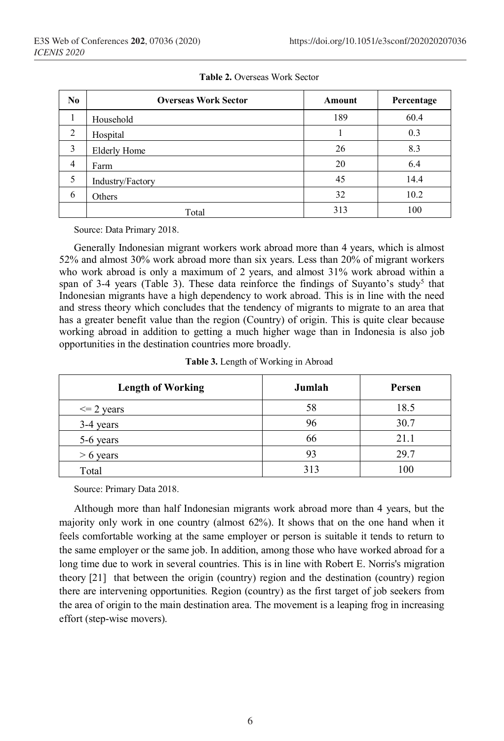| N <sub>0</sub> | <b>Overseas Work Sector</b> | Amount | Percentage |
|----------------|-----------------------------|--------|------------|
| Τ.             | Household                   | 189    | 60.4       |
| 2              | Hospital                    |        | 0.3        |
| 3              | <b>Elderly Home</b>         | 26     | 8.3        |
| 4              | Farm                        | 20     | 6.4        |
| 5              | Industry/Factory            | 45     | 14.4       |
| 6              | Others                      | 32     | 10.2       |
|                | Total                       | 313    | 100        |

**Table 2.** Overseas Work Sector

Source: Data Primary 2018.

Generally Indonesian migrant workers work abroad more than 4 years, which is almost 52% and almost 30% work abroad more than six years. Less than 20% of migrant workers who work abroad is only a maximum of 2 years, and almost 31% work abroad within a span of 3-4 years (Table 3). These data reinforce the findings of Suyanto's study<sup>5</sup> that Indonesian migrants have a high dependency to work abroad. This is in line with the need and stress theory which concludes that the tendency of migrants to migrate to an area that has a greater benefit value than the region (Country) of origin. This is quite clear because working abroad in addition to getting a much higher wage than in Indonesia is also job opportunities in the destination countries more broadly.

| <b>Length of Working</b> | Jumlah | Persen |
|--------------------------|--------|--------|
| $\leq$ 2 years           | 58     | 18.5   |
| $3-4$ years              | 96     | 30.7   |
| 5-6 years                | 66     | 21.1   |
| $> 6$ years              | 93     | 29.7   |
| Total                    | 313    | 100    |

Source: Primary Data 2018.

Although more than half Indonesian migrants work abroad more than 4 years, but the majority only work in one country (almost 62%). It shows that on the one hand when it feels comfortable working at the same employer or person is suitable it tends to return to the same employer or the same job. In addition, among those who have worked abroad for a long time due to work in several countries. This is in line with Robert E. Norris's migration theory [21] that between the origin (country) region and the destination (country) region there are intervening opportunities*.* Region (country) as the first target of job seekers from the area of origin to the main destination area. The movement is a leaping frog in increasing effort (step-wise movers).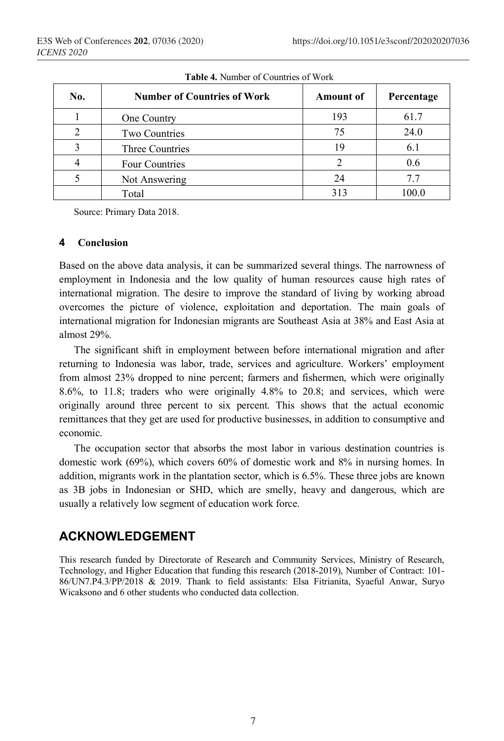| No. | <b>Number of Countries of Work</b> | <b>Amount of</b> | Percentage |
|-----|------------------------------------|------------------|------------|
|     | One Country                        | 193              | 61.7       |
|     | Two Countries                      | 75               | 24.0       |
|     | Three Countries                    | 19               | 6.1        |
|     | Four Countries                     |                  | 0.6        |
|     | Not Answering                      | 24               | 77         |
|     | Total                              | 313              |            |

**Table 4.** Number of Countries of Work

Source: Primary Data 2018.

## **4 Conclusion**

Based on the above data analysis, it can be summarized several things. The narrowness of employment in Indonesia and the low quality of human resources cause high rates of international migration. The desire to improve the standard of living by working abroad overcomes the picture of violence, exploitation and deportation. The main goals of international migration for Indonesian migrants are Southeast Asia at 38% and East Asia at almost 29%.

The significant shift in employment between before international migration and after returning to Indonesia was labor, trade, services and agriculture. Workers' employment from almost 23% dropped to nine percent; farmers and fishermen, which were originally 8.6%, to 11.8; traders who were originally 4.8% to 20.8; and services, which were originally around three percent to six percent. This shows that the actual economic remittances that they get are used for productive businesses, in addition to consumptive and economic.

The occupation sector that absorbs the most labor in various destination countries is domestic work (69%), which covers 60% of domestic work and 8% in nursing homes. In addition, migrants work in the plantation sector, which is 6.5%. These three jobs are known as 3B jobs in Indonesian or SHD, which are smelly, heavy and dangerous, which are usually a relatively low segment of education work force.

# **ACKNOWLEDGEMENT**

This research funded by Directorate of Research and Community Services, Ministry of Research, Technology, and Higher Education that funding this research (2018-2019), Number of Contract: 101- 86/UN7.P4.3/PP/2018 & 2019. Thank to field assistants: Elsa Fitrianita, Syaeful Anwar, Suryo Wicaksono and 6 other students who conducted data collection.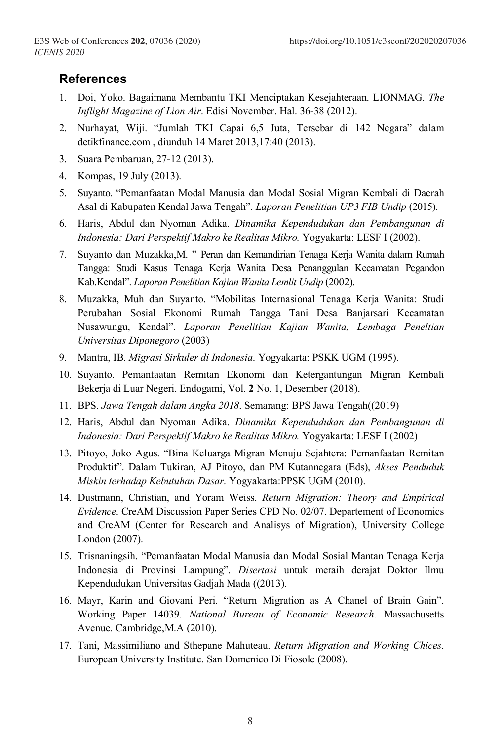## **References**

- 1. Doi, Yoko. Bagaimana Membantu TKI Menciptakan Kesejahteraan. LIONMAG. *The Inflight Magazine of Lion Air*. Edisi November. Hal. 36-38 (2012).
- 2. Nurhayat, Wiji. "Jumlah TKI Capai 6,5 Juta, Tersebar di 142 Negara" dalam detikfinance.com , diunduh 14 Maret 2013,17:40 (2013).
- 3. Suara Pembaruan, 27-12 (2013).
- 4. Kompas, 19 July (2013).
- 5. Suyanto. "Pemanfaatan Modal Manusia dan Modal Sosial Migran Kembali di Daerah Asal di Kabupaten Kendal Jawa Tengah". *Laporan Penelitian UP3 FIB Undip* (2015).
- 6. Haris, Abdul dan Nyoman Adika. *Dinamika Kependudukan dan Pembangunan di Indonesia: Dari Perspektif Makro ke Realitas Mikro.* Yogyakarta: LESF I (2002).
- 7. Suyanto dan Muzakka,M. " Peran dan Kemandirian Tenaga Kerja Wanita dalam Rumah Tangga: Studi Kasus Tenaga Kerja Wanita Desa Penanggulan Kecamatan Pegandon Kab.Kendal". *Laporan Penelitian Kajian Wanita Lemlit Undip* (2002).
- 8. Muzakka, Muh dan Suyanto. "Mobilitas Internasional Tenaga Kerja Wanita: Studi Perubahan Sosial Ekonomi Rumah Tangga Tani Desa Banjarsari Kecamatan Nusawungu, Kendal". *Laporan Penelitian Kajian Wanita, Lembaga Peneltian Universitas Diponegoro* (2003)
- 9. Mantra, IB. *Migrasi Sirkuler di Indonesia*. Yogyakarta: PSKK UGM (1995).
- 10. Suyanto. Pemanfaatan Remitan Ekonomi dan Ketergantungan Migran Kembali Bekerja di Luar Negeri. Endogami, Vol. **2** No. 1, Desember (2018).
- 11. BPS. *Jawa Tengah dalam Angka 2018*. Semarang: BPS Jawa Tengah((2019)
- 12. Haris, Abdul dan Nyoman Adika. *Dinamika Kependudukan dan Pembangunan di Indonesia: Dari Perspektif Makro ke Realitas Mikro.* Yogyakarta: LESF I (2002)
- 13. Pitoyo, Joko Agus. "Bina Keluarga Migran Menuju Sejahtera: Pemanfaatan Remitan Produktif". Dalam Tukiran, AJ Pitoyo, dan PM Kutannegara (Eds), *Akses Penduduk Miskin terhadap Kebutuhan Dasar*. Yogyakarta:PPSK UGM (2010).
- 14. Dustmann, Christian, and Yoram Weiss. *Return Migration: Theory and Empirical Evidence*. CreAM Discussion Paper Series CPD No. 02/07. Departement of Economics and CreAM (Center for Research and Analisys of Migration), University College London (2007).
- 15. Trisnaningsih. "Pemanfaatan Modal Manusia dan Modal Sosial Mantan Tenaga Kerja Indonesia di Provinsi Lampung". *Disertasi* untuk meraih derajat Doktor Ilmu Kependudukan Universitas Gadjah Mada ((2013).
- 16. Mayr, Karin and Giovani Peri. "Return Migration as A Chanel of Brain Gain". Working Paper 14039. *National Bureau of Economic Research*. Massachusetts Avenue. Cambridge,M.A (2010).
- 17. Tani, Massimiliano and Sthepane Mahuteau. *Return Migration and Working Chices*. European University Institute. San Domenico Di Fiosole (2008).